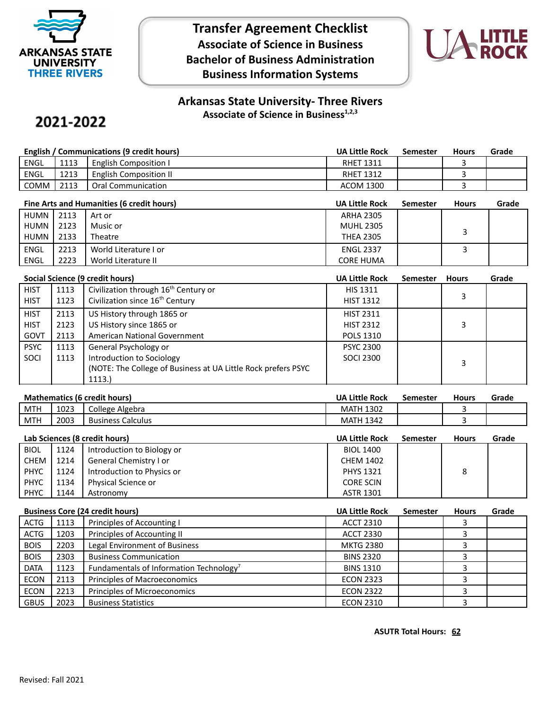

## **Transfer Agreement Checklist Associate of Science in Business Bachelor of Business Administration Business Information Systems**



## **Arkansas State University- Three Rivers Associate of Science in Business1,2,3**

# 2021-2022

| English / Communications (9 credit hours) |      |                              | <b>UA Little Rock</b> | Semester | <b>Hours</b> | Grade |
|-------------------------------------------|------|------------------------------|-----------------------|----------|--------------|-------|
| <b>ENGL</b>                               | 1113 | <b>English Composition I</b> | <b>RHET 1311</b>      |          |              |       |
| ENGL                                      | 1213 | English Composition II       | <b>RHET 1312</b>      |          |              |       |
| сомм                                      | 2113 | Oral Communication           | ACOM 1300             |          |              |       |

| Fine Arts and Humanities (6 credit hours) |      |                       | <b>UA Little Rock</b> | <b>Semester</b> | <b>Hours</b> | Grade |
|-------------------------------------------|------|-----------------------|-----------------------|-----------------|--------------|-------|
| HUMN I                                    | 2113 | Art or                | <b>ARHA 2305</b>      |                 |              |       |
| HUMN                                      | 2123 | Music or              | <b>MUHL 2305</b>      |                 |              |       |
| HUMN I                                    | 2133 | Theatre               | <b>THEA 2305</b>      |                 |              |       |
| <b>ENGL</b>                               | 2213 | World Literature I or | <b>ENGL 2337</b>      |                 |              |       |
| ENGL                                      | 2223 | World Literature II   | <b>CORE HUMA</b>      |                 |              |       |

| Social Science (9 credit hours) |      |                                                                | <b>UA Little Rock</b> | <b>Semester</b> | <b>Hours</b> | Grade |
|---------------------------------|------|----------------------------------------------------------------|-----------------------|-----------------|--------------|-------|
| <b>HIST</b>                     | 1113 | Civilization through 16 <sup>th</sup> Century or               | <b>HIS 1311</b>       |                 |              |       |
| <b>HIST</b>                     | 1123 | Civilization since 16 <sup>th</sup> Century                    | <b>HIST 1312</b>      |                 | 3            |       |
| <b>HIST</b>                     | 2113 | US History through 1865 or                                     | <b>HIST 2311</b>      |                 |              |       |
| <b>HIST</b>                     | 2123 | US History since 1865 or                                       | <b>HIST 2312</b>      |                 | 3            |       |
| GOVT                            | 2113 | American National Government                                   | <b>POLS 1310</b>      |                 |              |       |
| <b>PSYC</b>                     | 1113 | General Psychology or                                          | <b>PSYC 2300</b>      |                 |              |       |
| SOCI                            | 1113 | Introduction to Sociology                                      | <b>SOCI 2300</b>      |                 | 3            |       |
|                                 |      | (NOTE: The College of Business at UA Little Rock prefers PSYC) |                       |                 |              |       |
|                                 |      | 1113.)                                                         |                       |                 |              |       |

### **Mathematics (6 credit hours) UA Little Rock Semester Hours Grade**

| __<br>____ | _____          | ____                             | ----<br>___                                    | __<br>----- | __ | _____ |
|------------|----------------|----------------------------------|------------------------------------------------|-------------|----|-------|
| <b>MTH</b> | $\sim$<br>1023 | College<br>Algebra               | 1202<br>MAIH<br>13UZ                           |             |    |       |
| <b>MTH</b> | 2003           | -<br>Calculus<br><b>Business</b> | $\sim$ $\sim$<br>MA <sup>-</sup><br>1342<br>ΙH |             |    |       |
|            |                |                                  |                                                |             |    |       |

| Lab Sciences (8 credit hours) |      |                            | <b>UA Little Rock</b> | <b>Semester</b> | <b>Hours</b> | Grade |
|-------------------------------|------|----------------------------|-----------------------|-----------------|--------------|-------|
| <b>BIOL</b>                   | 1124 | Introduction to Biology or | <b>BIOL 1400</b>      |                 |              |       |
| CHEM                          | 1214 | General Chemistry I or     | <b>CHEM 1402</b>      |                 |              |       |
| <b>PHYC</b>                   | 1124 | Introduction to Physics or | <b>PHYS 1321</b>      |                 | 8            |       |
| <b>PHYC</b>                   | 1134 | Physical Science or        | <b>CORE SCIN</b>      |                 |              |       |
| <b>PHYC</b>                   | 1144 | Astronomy                  | <b>ASTR 1301</b>      |                 |              |       |

| <b>Business Core (24 credit hours)</b> |      |                                                     | <b>UA Little Rock</b> | Semester | <b>Hours</b> | Grade |
|----------------------------------------|------|-----------------------------------------------------|-----------------------|----------|--------------|-------|
| <b>ACTG</b>                            | 1113 | Principles of Accounting I                          | <b>ACCT 2310</b>      |          |              |       |
| <b>ACTG</b>                            | 1203 | Principles of Accounting II                         | <b>ACCT 2330</b>      |          |              |       |
| <b>BOIS</b>                            | 2203 | Legal Environment of Business                       | <b>MKTG 2380</b>      |          |              |       |
| <b>BOIS</b>                            | 2303 | <b>Business Communication</b>                       | <b>BINS 2320</b>      |          |              |       |
| <b>DATA</b>                            | 1123 | Fundamentals of Information Technology <sup>7</sup> | <b>BINS 1310</b>      |          |              |       |
| <b>ECON</b>                            | 2113 | Principles of Macroeconomics                        | <b>ECON 2323</b>      |          |              |       |
| <b>ECON</b>                            | 2213 | Principles of Microeconomics                        | <b>ECON 2322</b>      |          |              |       |
| <b>GBUS</b>                            | 2023 | <b>Business Statistics</b>                          | <b>ECON 2310</b>      |          |              |       |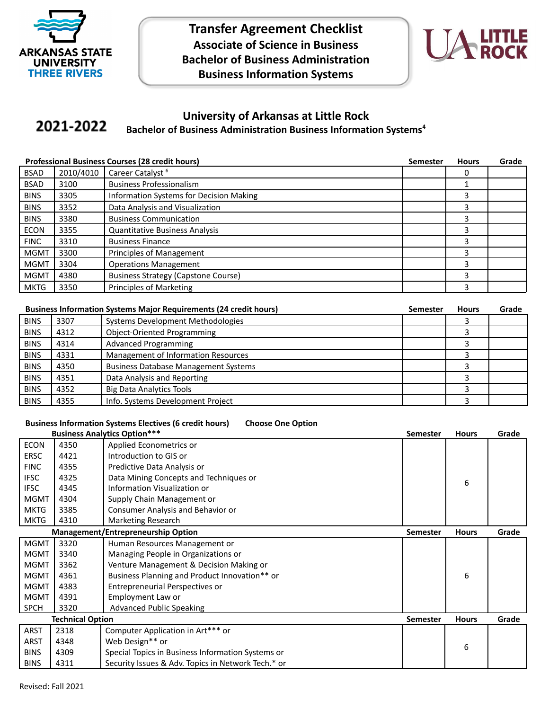

**Transfer Agreement Checklist Associate of Science in Business Bachelor of Business Administration Business Information Systems**



#### **University of Arkansas at Little Rock** 2021-2022 **Bachelor of Business Administration Business Information Systems<sup>4</sup>**

| <b>Professional Business Courses (28 credit hours)</b> |           |                                            | <b>Semester</b> | <b>Hours</b> | Grade |
|--------------------------------------------------------|-----------|--------------------------------------------|-----------------|--------------|-------|
| <b>BSAD</b>                                            | 2010/4010 | Career Catalyst <sup>6</sup>               |                 | 0            |       |
| <b>BSAD</b>                                            | 3100      | <b>Business Professionalism</b>            |                 |              |       |
| <b>BINS</b>                                            | 3305      | Information Systems for Decision Making    |                 | 3            |       |
| <b>BINS</b>                                            | 3352      | Data Analysis and Visualization            |                 | 3            |       |
| <b>BINS</b>                                            | 3380      | <b>Business Communication</b>              |                 | 3            |       |
| <b>ECON</b>                                            | 3355      | <b>Quantitative Business Analysis</b>      |                 | 3            |       |
| <b>FINC</b>                                            | 3310      | <b>Business Finance</b>                    |                 | 3            |       |
| <b>MGMT</b>                                            | 3300      | <b>Principles of Management</b>            |                 | 3            |       |
| <b>MGMT</b>                                            | 3304      | <b>Operations Management</b>               |                 | 3            |       |
| <b>MGMT</b>                                            | 4380      | <b>Business Strategy (Capstone Course)</b> |                 | 3            |       |
| <b>MKTG</b>                                            | 3350      | Principles of Marketing                    |                 | 3            |       |

| <b>Business Information Systems Major Requirements (24 credit hours)</b> |      | Semester                                    | <b>Hours</b> | Grade |  |
|--------------------------------------------------------------------------|------|---------------------------------------------|--------------|-------|--|
| <b>BINS</b>                                                              | 3307 | Systems Development Methodologies           |              |       |  |
| <b>BINS</b>                                                              | 4312 | <b>Object-Oriented Programming</b>          |              |       |  |
| <b>BINS</b>                                                              | 4314 | <b>Advanced Programming</b>                 |              |       |  |
| <b>BINS</b>                                                              | 4331 | Management of Information Resources         |              |       |  |
| <b>BINS</b>                                                              | 4350 | <b>Business Database Management Systems</b> |              |       |  |
| <b>BINS</b>                                                              | 4351 | Data Analysis and Reporting                 |              |       |  |
| <b>BINS</b>                                                              | 4352 | <b>Big Data Analytics Tools</b>             |              |       |  |
| <b>BINS</b>                                                              | 4355 | Info. Systems Development Project           |              |       |  |

#### **Business Information Systems Electives (6 credit hours) Choose One Option**

|             |                         | <b>Business Analytics Option***</b>                | <b>Semester</b> | <b>Hours</b> | Grade |
|-------------|-------------------------|----------------------------------------------------|-----------------|--------------|-------|
| <b>ECON</b> | 4350                    | Applied Econometrics or                            |                 |              |       |
| <b>ERSC</b> | 4421                    | Introduction to GIS or                             |                 |              |       |
| <b>FINC</b> | 4355                    | Predictive Data Analysis or                        |                 |              |       |
| <b>IFSC</b> | 4325                    | Data Mining Concepts and Techniques or             |                 | 6            |       |
| <b>IFSC</b> | 4345                    | Information Visualization or                       |                 |              |       |
| <b>MGMT</b> | 4304                    | Supply Chain Management or                         |                 |              |       |
| <b>MKTG</b> | 3385                    | Consumer Analysis and Behavior or                  |                 |              |       |
| <b>MKTG</b> | 4310                    | Marketing Research                                 |                 |              |       |
|             |                         | <b>Management/Entrepreneurship Option</b>          | <b>Semester</b> | <b>Hours</b> | Grade |
| <b>MGMT</b> | 3320                    | Human Resources Management or                      |                 |              |       |
| <b>MGMT</b> | 3340                    | Managing People in Organizations or                |                 |              |       |
| <b>MGMT</b> | 3362                    | Venture Management & Decision Making or            |                 |              |       |
| <b>MGMT</b> | 4361                    | Business Planning and Product Innovation** or      |                 | 6            |       |
| <b>MGMT</b> | 4383                    | Entrepreneurial Perspectives or                    |                 |              |       |
| <b>MGMT</b> | 4391                    | Employment Law or                                  |                 |              |       |
| <b>SPCH</b> | 3320                    | <b>Advanced Public Speaking</b>                    |                 |              |       |
|             | <b>Technical Option</b> |                                                    | <b>Semester</b> | <b>Hours</b> | Grade |
| ARST        | 2318                    | Computer Application in Art*** or                  |                 |              |       |
| <b>ARST</b> | 4348                    | Web Design** or                                    |                 | 6            |       |
| <b>BINS</b> | 4309                    | Special Topics in Business Information Systems or  |                 |              |       |
| <b>BINS</b> | 4311                    | Security Issues & Adv. Topics in Network Tech.* or |                 |              |       |